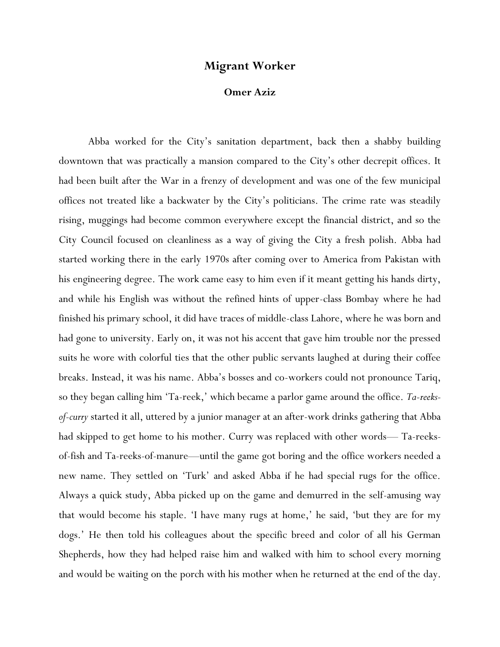## **Migrant Worker**

## **Omer Aziz**

Abba worked for the City's sanitation department, back then a shabby building downtown that was practically a mansion compared to the City's other decrepit offices. It had been built after the War in a frenzy of development and was one of the few municipal offices not treated like a backwater by the City's politicians. The crime rate was steadily rising, muggings had become common everywhere except the financial district, and so the City Council focused on cleanliness as a way of giving the City a fresh polish. Abba had started working there in the early 1970s after coming over to America from Pakistan with his engineering degree. The work came easy to him even if it meant getting his hands dirty, and while his English was without the refined hints of upper-class Bombay where he had finished his primary school, it did have traces of middle-class Lahore, where he was born and had gone to university. Early on, it was not his accent that gave him trouble nor the pressed suits he wore with colorful ties that the other public servants laughed at during their coffee breaks. Instead, it was his name. Abba's bosses and co-workers could not pronounce Tariq, so they began calling him 'Ta-reek,' which became a parlor game around the office. *Ta-reeksof-curry* started it all, uttered by a junior manager at an after-work drinks gathering that Abba had skipped to get home to his mother. Curry was replaced with other words— Ta-reeksof-fish and Ta-reeks-of-manure—until the game got boring and the office workers needed a new name. They settled on 'Turk' and asked Abba if he had special rugs for the office. Always a quick study, Abba picked up on the game and demurred in the self-amusing way that would become his staple. 'I have many rugs at home,' he said, 'but they are for my dogs.' He then told his colleagues about the specific breed and color of all his German Shepherds, how they had helped raise him and walked with him to school every morning and would be waiting on the porch with his mother when he returned at the end of the day.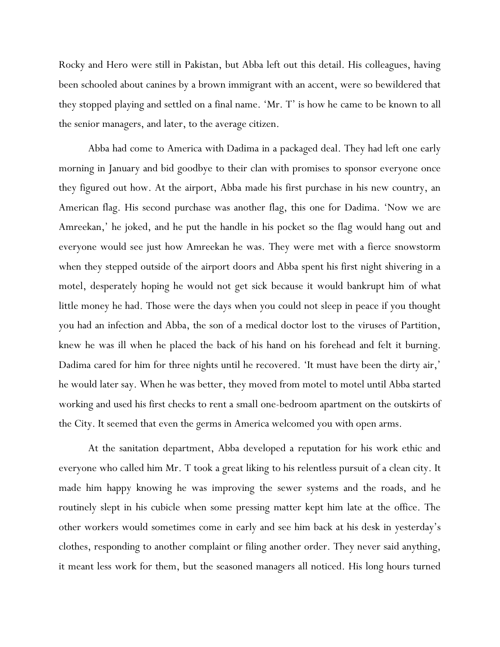Rocky and Hero were still in Pakistan, but Abba left out this detail. His colleagues, having been schooled about canines by a brown immigrant with an accent, were so bewildered that they stopped playing and settled on a final name. 'Mr. T' is how he came to be known to all the senior managers, and later, to the average citizen.

Abba had come to America with Dadima in a packaged deal. They had left one early morning in January and bid goodbye to their clan with promises to sponsor everyone once they figured out how. At the airport, Abba made his first purchase in his new country, an American flag. His second purchase was another flag, this one for Dadima. 'Now we are Amreekan,' he joked, and he put the handle in his pocket so the flag would hang out and everyone would see just how Amreekan he was. They were met with a fierce snowstorm when they stepped outside of the airport doors and Abba spent his first night shivering in a motel, desperately hoping he would not get sick because it would bankrupt him of what little money he had. Those were the days when you could not sleep in peace if you thought you had an infection and Abba, the son of a medical doctor lost to the viruses of Partition, knew he was ill when he placed the back of his hand on his forehead and felt it burning. Dadima cared for him for three nights until he recovered. 'It must have been the dirty air,' he would later say. When he was better, they moved from motel to motel until Abba started working and used his first checks to rent a small one-bedroom apartment on the outskirts of the City. It seemed that even the germs in America welcomed you with open arms.

At the sanitation department, Abba developed a reputation for his work ethic and everyone who called him Mr. T took a great liking to his relentless pursuit of a clean city. It made him happy knowing he was improving the sewer systems and the roads, and he routinely slept in his cubicle when some pressing matter kept him late at the office. The other workers would sometimes come in early and see him back at his desk in yesterday's clothes, responding to another complaint or filing another order. They never said anything, it meant less work for them, but the seasoned managers all noticed. His long hours turned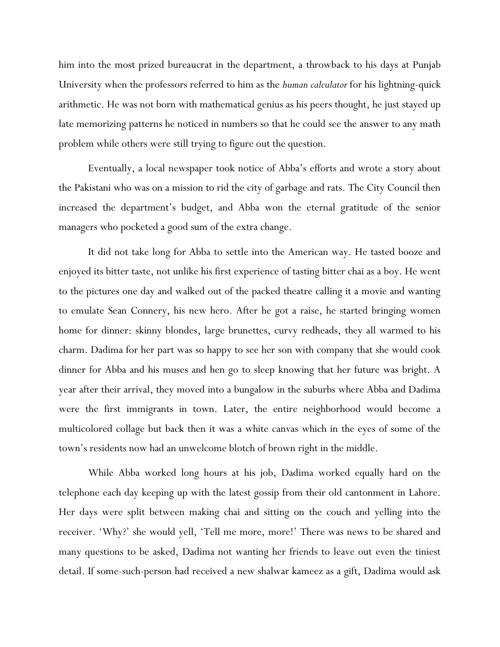him into the most prized bureaucrat in the department, a throwback to his days at Punjab University when the professors referred to him as the *human calculator* for his lightning-quick arithmetic. He was not born with mathematical genius as his peers thought, he just stayed up late memorizing patterns he noticed in numbers so that he could see the answer to any math problem while others were still trying to figure out the question.

Eventually, a local newspaper took notice of Abba's efforts and wrote a story about the Pakistani who was on a mission to rid the city of garbage and rats. The City Council then increased the department's budget, and Abba won the eternal gratitude of the senior managers who pocketed a good sum of the extra change.

It did not take long for Abba to settle into the American way. He tasted booze and enjoyed its bitter taste, not unlike his first experience of tasting bitter chai as a boy. He went to the pictures one day and walked out of the packed theatre calling it a movie and wanting to emulate Sean Connery, his new hero. After he got a raise, he started bringing women home for dinner: skinny blondes, large brunettes, curvy redheads, they all warmed to his charm. Dadima for her part was so happy to see her son with company that she would cook dinner for Abba and his muses and hen go to sleep knowing that her future was bright. A year after their arrival, they moved into a bungalow in the suburbs where Abba and Dadima were the first immigrants in town. Later, the entire neighborhood would become a multicolored collage but back then it was a white canvas which in the eyes of some of the town's residents now had an unwelcome blotch of brown right in the middle.

While Abba worked long hours at his job, Dadima worked equally hard on the telephone each day keeping up with the latest gossip from their old cantonment in Lahore. Her days were split between making chai and sitting on the couch and yelling into the receiver. 'Why?' she would yell, 'Tell me more, more!' There was news to be shared and many questions to be asked, Dadima not wanting her friends to leave out even the tiniest detail. If some-such-person had received a new shalwar kameez as a gift, Dadima would ask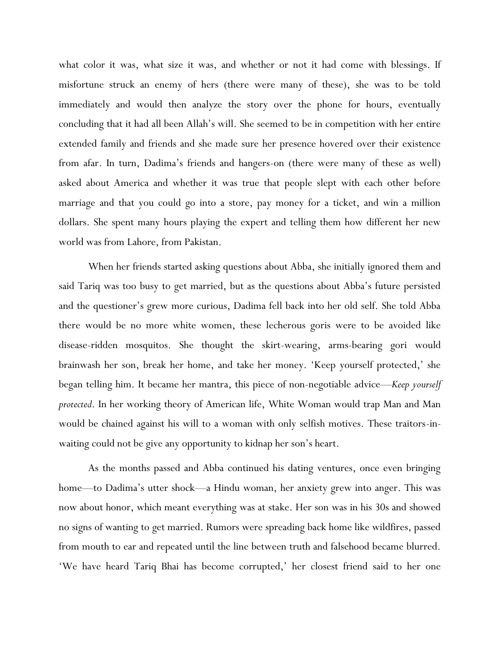what color it was, what size it was, and whether or not it had come with blessings. If misfortune struck an enemy of hers (there were many of these), she was to be told immediately and would then analyze the story over the phone for hours, eventually concluding that it had all been Allah's will. She seemed to be in competition with her entire extended family and friends and she made sure her presence hovered over their existence from afar. In turn, Dadima's friends and hangers-on (there were many of these as well) asked about America and whether it was true that people slept with each other before marriage and that you could go into a store, pay money for a ticket, and win a million dollars. She spent many hours playing the expert and telling them how different her new world was from Lahore, from Pakistan.

When her friends started asking questions about Abba, she initially ignored them and said Tariq was too busy to get married, but as the questions about Abba's future persisted and the questioner's grew more curious, Dadima fell back into her old self. She told Abba there would be no more white women, these lecherous goris were to be avoided like disease-ridden mosquitos. She thought the skirt-wearing, arms-bearing gori would brainwash her son, break her home, and take her money. 'Keep yourself protected,' she began telling him. It became her mantra, this piece of non-negotiable advice—*Keep yourself protected*. In her working theory of American life, White Woman would trap Man and Man would be chained against his will to a woman with only selfish motives. These traitors-inwaiting could not be give any opportunity to kidnap her son's heart.

As the months passed and Abba continued his dating ventures, once even bringing home—to Dadima's utter shock—a Hindu woman, her anxiety grew into anger. This was now about honor, which meant everything was at stake. Her son was in his 30s and showed no signs of wanting to get married. Rumors were spreading back home like wildfires, passed from mouth to ear and repeated until the line between truth and falsehood became blurred. 'We have heard Tariq Bhai has become corrupted,' her closest friend said to her one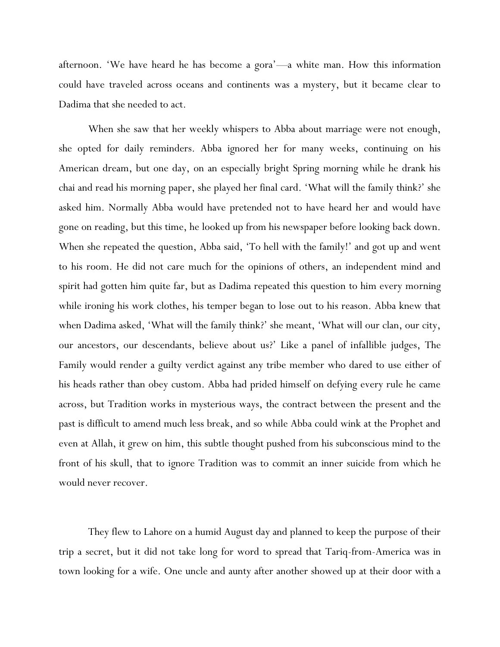afternoon. 'We have heard he has become a gora'—a white man. How this information could have traveled across oceans and continents was a mystery, but it became clear to Dadima that she needed to act.

When she saw that her weekly whispers to Abba about marriage were not enough, she opted for daily reminders. Abba ignored her for many weeks, continuing on his American dream, but one day, on an especially bright Spring morning while he drank his chai and read his morning paper, she played her final card. 'What will the family think?' she asked him. Normally Abba would have pretended not to have heard her and would have gone on reading, but this time, he looked up from his newspaper before looking back down. When she repeated the question, Abba said, 'To hell with the family!' and got up and went to his room. He did not care much for the opinions of others, an independent mind and spirit had gotten him quite far, but as Dadima repeated this question to him every morning while ironing his work clothes, his temper began to lose out to his reason. Abba knew that when Dadima asked, 'What will the family think?' she meant, 'What will our clan, our city, our ancestors, our descendants, believe about us?' Like a panel of infallible judges, The Family would render a guilty verdict against any tribe member who dared to use either of his heads rather than obey custom. Abba had prided himself on defying every rule he came across, but Tradition works in mysterious ways, the contract between the present and the past is difficult to amend much less break, and so while Abba could wink at the Prophet and even at Allah, it grew on him, this subtle thought pushed from his subconscious mind to the front of his skull, that to ignore Tradition was to commit an inner suicide from which he would never recover.

They flew to Lahore on a humid August day and planned to keep the purpose of their trip a secret, but it did not take long for word to spread that Tariq-from-America was in town looking for a wife. One uncle and aunty after another showed up at their door with a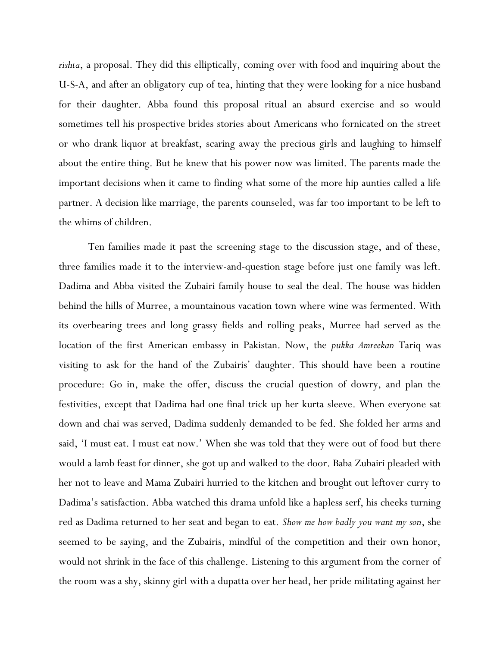*rishta*, a proposal. They did this elliptically, coming over with food and inquiring about the U-S-A, and after an obligatory cup of tea, hinting that they were looking for a nice husband for their daughter. Abba found this proposal ritual an absurd exercise and so would sometimes tell his prospective brides stories about Americans who fornicated on the street or who drank liquor at breakfast, scaring away the precious girls and laughing to himself about the entire thing. But he knew that his power now was limited. The parents made the important decisions when it came to finding what some of the more hip aunties called a life partner. A decision like marriage, the parents counseled, was far too important to be left to the whims of children.

Ten families made it past the screening stage to the discussion stage, and of these, three families made it to the interview-and-question stage before just one family was left. Dadima and Abba visited the Zubairi family house to seal the deal. The house was hidden behind the hills of Murree, a mountainous vacation town where wine was fermented. With its overbearing trees and long grassy fields and rolling peaks, Murree had served as the location of the first American embassy in Pakistan. Now, the *pukka Amreekan* Tariq was visiting to ask for the hand of the Zubairis' daughter. This should have been a routine procedure: Go in, make the offer, discuss the crucial question of dowry, and plan the festivities, except that Dadima had one final trick up her kurta sleeve. When everyone sat down and chai was served, Dadima suddenly demanded to be fed. She folded her arms and said, 'I must eat. I must eat now.' When she was told that they were out of food but there would a lamb feast for dinner, she got up and walked to the door. Baba Zubairi pleaded with her not to leave and Mama Zubairi hurried to the kitchen and brought out leftover curry to Dadima's satisfaction. Abba watched this drama unfold like a hapless serf, his cheeks turning red as Dadima returned to her seat and began to eat. *Show me how badly you want my son*, she seemed to be saying, and the Zubairis, mindful of the competition and their own honor, would not shrink in the face of this challenge. Listening to this argument from the corner of the room was a shy, skinny girl with a dupatta over her head, her pride militating against her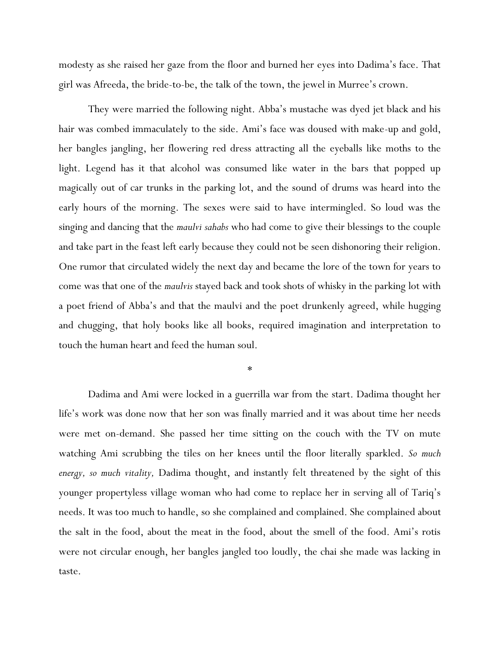modesty as she raised her gaze from the floor and burned her eyes into Dadima's face. That girl was Afreeda, the bride-to-be, the talk of the town, the jewel in Murree's crown.

They were married the following night. Abba's mustache was dyed jet black and his hair was combed immaculately to the side. Ami's face was doused with make-up and gold, her bangles jangling, her flowering red dress attracting all the eyeballs like moths to the light. Legend has it that alcohol was consumed like water in the bars that popped up magically out of car trunks in the parking lot, and the sound of drums was heard into the early hours of the morning. The sexes were said to have intermingled. So loud was the singing and dancing that the *maulvi sahabs* who had come to give their blessings to the couple and take part in the feast left early because they could not be seen dishonoring their religion. One rumor that circulated widely the next day and became the lore of the town for years to come was that one of the *maulvis* stayed back and took shots of whisky in the parking lot with a poet friend of Abba's and that the maulvi and the poet drunkenly agreed, while hugging and chugging, that holy books like all books, required imagination and interpretation to touch the human heart and feed the human soul.

\*

Dadima and Ami were locked in a guerrilla war from the start. Dadima thought her life's work was done now that her son was finally married and it was about time her needs were met on-demand. She passed her time sitting on the couch with the TV on mute watching Ami scrubbing the tiles on her knees until the floor literally sparkled. *So much energy, so much vitality,* Dadima thought, and instantly felt threatened by the sight of this younger propertyless village woman who had come to replace her in serving all of Tariq's needs. It was too much to handle, so she complained and complained. She complained about the salt in the food, about the meat in the food, about the smell of the food. Ami's rotis were not circular enough, her bangles jangled too loudly, the chai she made was lacking in taste.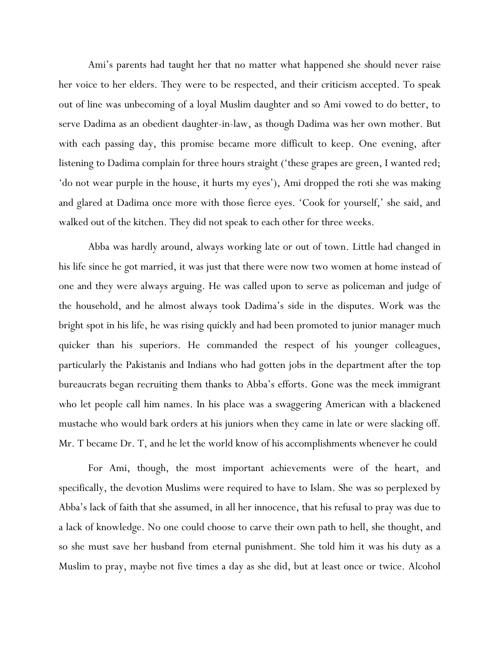Ami's parents had taught her that no matter what happened she should never raise her voice to her elders. They were to be respected, and their criticism accepted. To speak out of line was unbecoming of a loyal Muslim daughter and so Ami vowed to do better, to serve Dadima as an obedient daughter-in-law, as though Dadima was her own mother. But with each passing day, this promise became more difficult to keep. One evening, after listening to Dadima complain for three hours straight ('these grapes are green, I wanted red; 'do not wear purple in the house, it hurts my eyes'), Ami dropped the roti she was making and glared at Dadima once more with those fierce eyes. 'Cook for yourself,' she said, and walked out of the kitchen. They did not speak to each other for three weeks.

Abba was hardly around, always working late or out of town. Little had changed in his life since he got married, it was just that there were now two women at home instead of one and they were always arguing. He was called upon to serve as policeman and judge of the household, and he almost always took Dadima's side in the disputes. Work was the bright spot in his life, he was rising quickly and had been promoted to junior manager much quicker than his superiors. He commanded the respect of his younger colleagues, particularly the Pakistanis and Indians who had gotten jobs in the department after the top bureaucrats began recruiting them thanks to Abba's efforts. Gone was the meek immigrant who let people call him names. In his place was a swaggering American with a blackened mustache who would bark orders at his juniors when they came in late or were slacking off. Mr. T became Dr. T, and he let the world know of his accomplishments whenever he could

For Ami, though, the most important achievements were of the heart, and specifically, the devotion Muslims were required to have to Islam. She was so perplexed by Abba's lack of faith that she assumed, in all her innocence, that his refusal to pray was due to a lack of knowledge. No one could choose to carve their own path to hell, she thought, and so she must save her husband from eternal punishment. She told him it was his duty as a Muslim to pray, maybe not five times a day as she did, but at least once or twice. Alcohol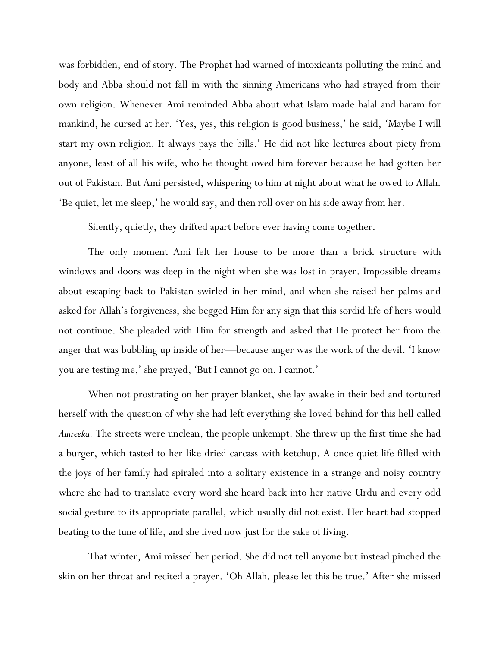was forbidden, end of story. The Prophet had warned of intoxicants polluting the mind and body and Abba should not fall in with the sinning Americans who had strayed from their own religion. Whenever Ami reminded Abba about what Islam made halal and haram for mankind, he cursed at her. 'Yes, yes, this religion is good business,' he said, 'Maybe I will start my own religion. It always pays the bills.' He did not like lectures about piety from anyone, least of all his wife, who he thought owed him forever because he had gotten her out of Pakistan. But Ami persisted, whispering to him at night about what he owed to Allah. 'Be quiet, let me sleep,' he would say, and then roll over on his side away from her.

Silently, quietly, they drifted apart before ever having come together.

The only moment Ami felt her house to be more than a brick structure with windows and doors was deep in the night when she was lost in prayer. Impossible dreams about escaping back to Pakistan swirled in her mind, and when she raised her palms and asked for Allah's forgiveness, she begged Him for any sign that this sordid life of hers would not continue. She pleaded with Him for strength and asked that He protect her from the anger that was bubbling up inside of her—because anger was the work of the devil. 'I know you are testing me,' she prayed, 'But I cannot go on. I cannot.'

When not prostrating on her prayer blanket, she lay awake in their bed and tortured herself with the question of why she had left everything she loved behind for this hell called *Amreeka.* The streets were unclean, the people unkempt. She threw up the first time she had a burger, which tasted to her like dried carcass with ketchup. A once quiet life filled with the joys of her family had spiraled into a solitary existence in a strange and noisy country where she had to translate every word she heard back into her native Urdu and every odd social gesture to its appropriate parallel, which usually did not exist. Her heart had stopped beating to the tune of life, and she lived now just for the sake of living.

That winter, Ami missed her period. She did not tell anyone but instead pinched the skin on her throat and recited a prayer. 'Oh Allah, please let this be true.' After she missed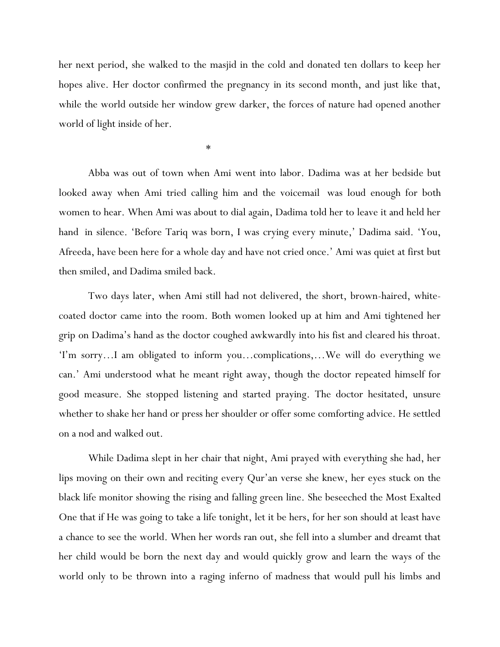her next period, she walked to the masjid in the cold and donated ten dollars to keep her hopes alive. Her doctor confirmed the pregnancy in its second month, and just like that, while the world outside her window grew darker, the forces of nature had opened another world of light inside of her.

\*

Abba was out of town when Ami went into labor. Dadima was at her bedside but looked away when Ami tried calling him and the voicemail was loud enough for both women to hear. When Ami was about to dial again, Dadima told her to leave it and held her hand in silence. 'Before Tariq was born, I was crying every minute,' Dadima said. 'You, Afreeda, have been here for a whole day and have not cried once.' Ami was quiet at first but then smiled, and Dadima smiled back.

Two days later, when Ami still had not delivered, the short, brown-haired, whitecoated doctor came into the room. Both women looked up at him and Ami tightened her grip on Dadima's hand as the doctor coughed awkwardly into his fist and cleared his throat. 'I'm sorry…I am obligated to inform you…complications,…We will do everything we can.' Ami understood what he meant right away, though the doctor repeated himself for good measure. She stopped listening and started praying. The doctor hesitated, unsure whether to shake her hand or press her shoulder or offer some comforting advice. He settled on a nod and walked out.

While Dadima slept in her chair that night, Ami prayed with everything she had, her lips moving on their own and reciting every Qur'an verse she knew, her eyes stuck on the black life monitor showing the rising and falling green line. She beseeched the Most Exalted One that if He was going to take a life tonight, let it be hers, for her son should at least have a chance to see the world. When her words ran out, she fell into a slumber and dreamt that her child would be born the next day and would quickly grow and learn the ways of the world only to be thrown into a raging inferno of madness that would pull his limbs and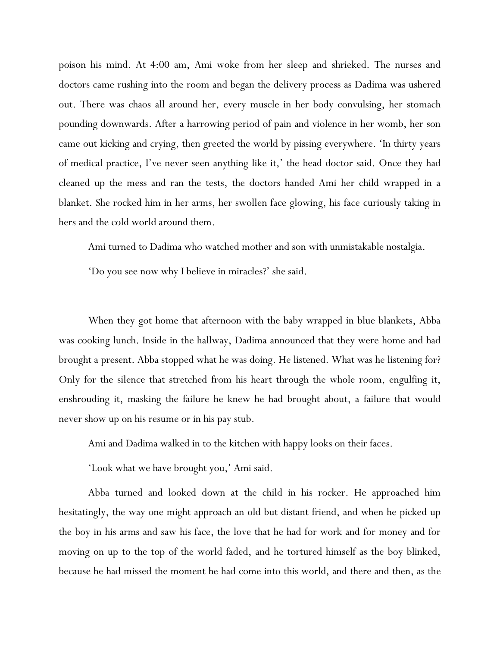poison his mind. At 4:00 am, Ami woke from her sleep and shrieked. The nurses and doctors came rushing into the room and began the delivery process as Dadima was ushered out. There was chaos all around her, every muscle in her body convulsing, her stomach pounding downwards. After a harrowing period of pain and violence in her womb, her son came out kicking and crying, then greeted the world by pissing everywhere. 'In thirty years of medical practice, I've never seen anything like it,' the head doctor said. Once they had cleaned up the mess and ran the tests, the doctors handed Ami her child wrapped in a blanket. She rocked him in her arms, her swollen face glowing, his face curiously taking in hers and the cold world around them.

Ami turned to Dadima who watched mother and son with unmistakable nostalgia.

'Do you see now why I believe in miracles?' she said.

When they got home that afternoon with the baby wrapped in blue blankets, Abba was cooking lunch. Inside in the hallway, Dadima announced that they were home and had brought a present. Abba stopped what he was doing. He listened. What was he listening for? Only for the silence that stretched from his heart through the whole room, engulfing it, enshrouding it, masking the failure he knew he had brought about, a failure that would never show up on his resume or in his pay stub.

Ami and Dadima walked in to the kitchen with happy looks on their faces.

'Look what we have brought you,' Ami said.

Abba turned and looked down at the child in his rocker. He approached him hesitatingly, the way one might approach an old but distant friend, and when he picked up the boy in his arms and saw his face, the love that he had for work and for money and for moving on up to the top of the world faded, and he tortured himself as the boy blinked, because he had missed the moment he had come into this world, and there and then, as the